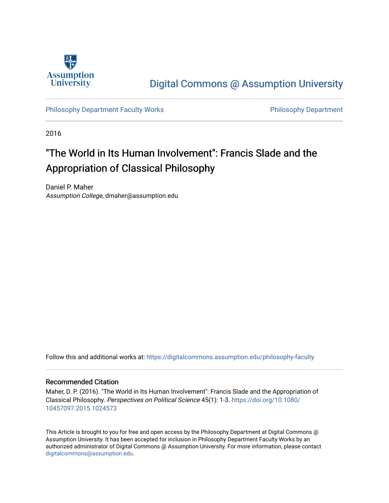

## [Digital Commons @ Assumption University](https://digitalcommons.assumption.edu/)

[Philosophy Department Faculty Works](https://digitalcommons.assumption.edu/philosophy-faculty) **Philosophy Department** 

2016

# "The World in Its Human Involvement": Francis Slade and the Appropriation of Classical Philosophy

Daniel P. Maher Assumption College, dmaher@assumption.edu

Follow this and additional works at: [https://digitalcommons.assumption.edu/philosophy-faculty](https://digitalcommons.assumption.edu/philosophy-faculty?utm_source=digitalcommons.assumption.edu%2Fphilosophy-faculty%2F22&utm_medium=PDF&utm_campaign=PDFCoverPages) 

#### Recommended Citation

Maher, D. P. (2016). "The World in Its Human Involvement": Francis Slade and the Appropriation of Classical Philosophy. Perspectives on Political Science 45(1): 1-3. [https://doi.org/10.1080/](https://doi.org/10.1080/10457097.2015.1024573) [10457097.2015.1024573](https://doi.org/10.1080/10457097.2015.1024573) 

This Article is brought to you for free and open access by the Philosophy Department at Digital Commons @ Assumption University. It has been accepted for inclusion in Philosophy Department Faculty Works by an authorized administrator of Digital Commons @ Assumption University. For more information, please contact [digitalcommons@assumption.edu](mailto:digitalcommons@assumption.edu).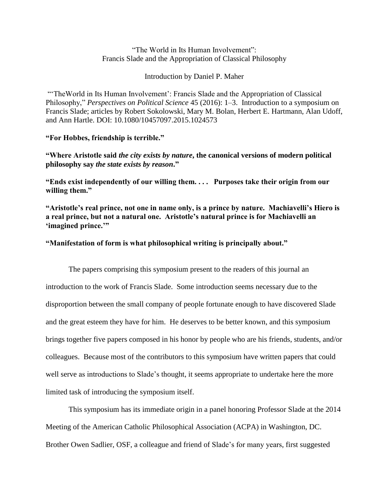"The World in Its Human Involvement": Francis Slade and the Appropriation of Classical Philosophy

Introduction by Daniel P. Maher

"TheWorld in Its Human Involvement': Francis Slade and the Appropriation of Classical Philosophy," *Perspectives on Political Science* 45 (2016): 1–3. Introduction to a symposium on Francis Slade; articles by Robert Sokolowski, Mary M. Bolan, Herbert E. Hartmann, Alan Udoff, and Ann Hartle. DOI: 10.1080/10457097.2015.1024573

## **"For Hobbes, friendship is terrible."**

**"Where Aristotle said** *the city exists by nature***, the canonical versions of modern political philosophy say** *the state exists by reason***."**

**"Ends exist independently of our willing them. . . . Purposes take their origin from our willing them."**

**"Aristotle's real prince, not one in name only, is a prince by nature. Machiavelli's Hiero is a real prince, but not a natural one. Aristotle's natural prince is for Machiavelli an 'imagined prince.'"**

## **"Manifestation of form is what philosophical writing is principally about."**

The papers comprising this symposium present to the readers of this journal an introduction to the work of Francis Slade. Some introduction seems necessary due to the disproportion between the small company of people fortunate enough to have discovered Slade and the great esteem they have for him. He deserves to be better known, and this symposium brings together five papers composed in his honor by people who are his friends, students, and/or colleagues. Because most of the contributors to this symposium have written papers that could well serve as introductions to Slade's thought, it seems appropriate to undertake here the more limited task of introducing the symposium itself.

This symposium has its immediate origin in a panel honoring Professor Slade at the 2014 Meeting of the American Catholic Philosophical Association (ACPA) in Washington, DC. Brother Owen Sadlier, OSF, a colleague and friend of Slade's for many years, first suggested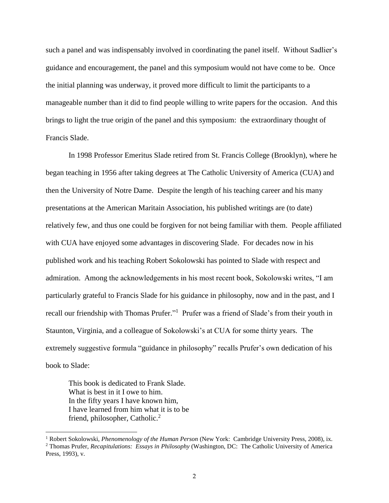such a panel and was indispensably involved in coordinating the panel itself. Without Sadlier's guidance and encouragement, the panel and this symposium would not have come to be. Once the initial planning was underway, it proved more difficult to limit the participants to a manageable number than it did to find people willing to write papers for the occasion. And this brings to light the true origin of the panel and this symposium: the extraordinary thought of Francis Slade.

In 1998 Professor Emeritus Slade retired from St. Francis College (Brooklyn), where he began teaching in 1956 after taking degrees at The Catholic University of America (CUA) and then the University of Notre Dame. Despite the length of his teaching career and his many presentations at the American Maritain Association, his published writings are (to date) relatively few, and thus one could be forgiven for not being familiar with them. People affiliated with CUA have enjoyed some advantages in discovering Slade. For decades now in his published work and his teaching Robert Sokolowski has pointed to Slade with respect and admiration. Among the acknowledgements in his most recent book, Sokolowski writes, "I am particularly grateful to Francis Slade for his guidance in philosophy, now and in the past, and I recall our friendship with Thomas Prufer."<sup>1</sup> Prufer was a friend of Slade's from their youth in Staunton, Virginia, and a colleague of Sokolowski's at CUA for some thirty years. The extremely suggestive formula "guidance in philosophy" recalls Prufer's own dedication of his book to Slade:

This book is dedicated to Frank Slade. What is best in it I owe to him. In the fifty years I have known him, I have learned from him what it is to be friend, philosopher, Catholic.<sup>2</sup>

 $\overline{a}$ 

<sup>1</sup> Robert Sokolowski, *Phenomenology of the Human Person* (New York: Cambridge University Press, 2008), ix. <sup>2</sup> Thomas Prufer, *Recapitulations: Essays in Philosophy* (Washington, DC: The Catholic University of America Press, 1993), v.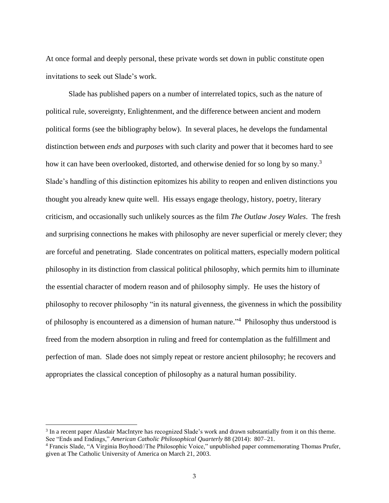At once formal and deeply personal, these private words set down in public constitute open invitations to seek out Slade's work.

Slade has published papers on a number of interrelated topics, such as the nature of political rule, sovereignty, Enlightenment, and the difference between ancient and modern political forms (see the bibliography below). In several places, he develops the fundamental distinction between *ends* and *purposes* with such clarity and power that it becomes hard to see how it can have been overlooked, distorted, and otherwise denied for so long by so many.<sup>3</sup> Slade's handling of this distinction epitomizes his ability to reopen and enliven distinctions you thought you already knew quite well. His essays engage theology, history, poetry, literary criticism, and occasionally such unlikely sources as the film *The Outlaw Josey Wales*. The fresh and surprising connections he makes with philosophy are never superficial or merely clever; they are forceful and penetrating. Slade concentrates on political matters, especially modern political philosophy in its distinction from classical political philosophy, which permits him to illuminate the essential character of modern reason and of philosophy simply. He uses the history of philosophy to recover philosophy "in its natural givenness, the givenness in which the possibility of philosophy is encountered as a dimension of human nature."<sup>4</sup> Philosophy thus understood is freed from the modern absorption in ruling and freed for contemplation as the fulfillment and perfection of man. Slade does not simply repeat or restore ancient philosophy; he recovers and appropriates the classical conception of philosophy as a natural human possibility.

 $\overline{a}$ 

<sup>&</sup>lt;sup>3</sup> In a recent paper Alasdair MacIntyre has recognized Slade's work and drawn substantially from it on this theme. See "Ends and Endings," *American Catholic Philosophical Quarterly* 88 (2014): 807–21.

<sup>4</sup> Francis Slade, "A Virginia Boyhood//The Philosophic Voice," unpublished paper commemorating Thomas Prufer, given at The Catholic University of America on March 21, 2003.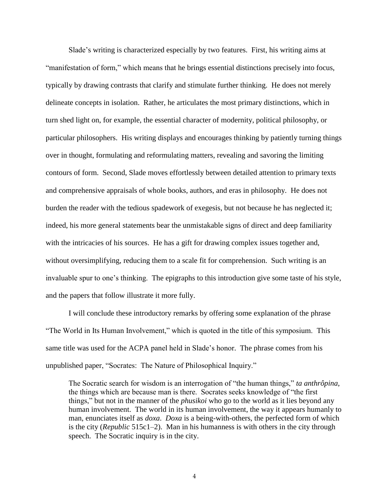Slade's writing is characterized especially by two features. First, his writing aims at "manifestation of form," which means that he brings essential distinctions precisely into focus, typically by drawing contrasts that clarify and stimulate further thinking. He does not merely delineate concepts in isolation. Rather, he articulates the most primary distinctions, which in turn shed light on, for example, the essential character of modernity, political philosophy, or particular philosophers. His writing displays and encourages thinking by patiently turning things over in thought, formulating and reformulating matters, revealing and savoring the limiting contours of form. Second, Slade moves effortlessly between detailed attention to primary texts and comprehensive appraisals of whole books, authors, and eras in philosophy. He does not burden the reader with the tedious spadework of exegesis, but not because he has neglected it; indeed, his more general statements bear the unmistakable signs of direct and deep familiarity with the intricacies of his sources. He has a gift for drawing complex issues together and, without oversimplifying, reducing them to a scale fit for comprehension. Such writing is an invaluable spur to one's thinking. The epigraphs to this introduction give some taste of his style, and the papers that follow illustrate it more fully.

I will conclude these introductory remarks by offering some explanation of the phrase "The World in Its Human Involvement," which is quoted in the title of this symposium. This same title was used for the ACPA panel held in Slade's honor. The phrase comes from his unpublished paper, "Socrates: The Nature of Philosophical Inquiry."

The Socratic search for wisdom is an interrogation of "the human things," *ta anthrôpina*, the things which are because man is there. Socrates seeks knowledge of "the first things," but not in the manner of the *phusikoi* who go to the world as it lies beyond any human involvement. The world in its human involvement, the way it appears humanly to man, enunciates itself as *doxa*. *Doxa* is a being-with-others, the perfected form of which is the city (*Republic* 515c1–2). Man in his humanness is with others in the city through speech. The Socratic inquiry is in the city.

4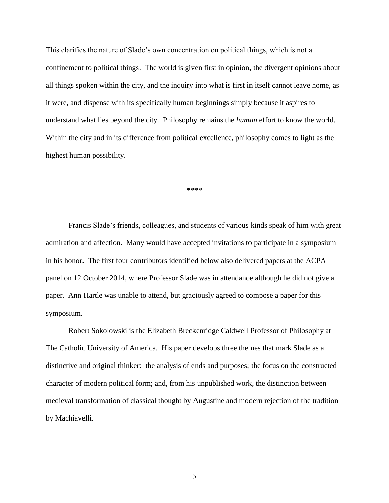This clarifies the nature of Slade's own concentration on political things, which is not a confinement to political things. The world is given first in opinion, the divergent opinions about all things spoken within the city, and the inquiry into what is first in itself cannot leave home, as it were, and dispense with its specifically human beginnings simply because it aspires to understand what lies beyond the city. Philosophy remains the *human* effort to know the world. Within the city and in its difference from political excellence, philosophy comes to light as the highest human possibility.

\*\*\*\*

Francis Slade's friends, colleagues, and students of various kinds speak of him with great admiration and affection. Many would have accepted invitations to participate in a symposium in his honor. The first four contributors identified below also delivered papers at the ACPA panel on 12 October 2014, where Professor Slade was in attendance although he did not give a paper. Ann Hartle was unable to attend, but graciously agreed to compose a paper for this symposium.

Robert Sokolowski is the Elizabeth Breckenridge Caldwell Professor of Philosophy at The Catholic University of America. His paper develops three themes that mark Slade as a distinctive and original thinker: the analysis of ends and purposes; the focus on the constructed character of modern political form; and, from his unpublished work, the distinction between medieval transformation of classical thought by Augustine and modern rejection of the tradition by Machiavelli.

5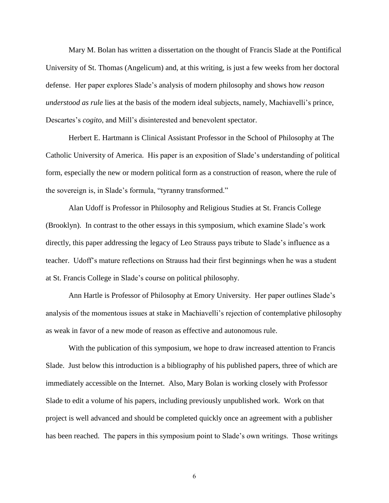Mary M. Bolan has written a dissertation on the thought of Francis Slade at the Pontifical University of St. Thomas (Angelicum) and, at this writing, is just a few weeks from her doctoral defense. Her paper explores Slade's analysis of modern philosophy and shows how *reason understood as rule* lies at the basis of the modern ideal subjects, namely, Machiavelli's prince, Descartes's *cogito*, and Mill's disinterested and benevolent spectator.

Herbert E. Hartmann is Clinical Assistant Professor in the School of Philosophy at The Catholic University of America. His paper is an exposition of Slade's understanding of political form, especially the new or modern political form as a construction of reason, where the rule of the sovereign is, in Slade's formula, "tyranny transformed."

Alan Udoff is Professor in Philosophy and Religious Studies at St. Francis College (Brooklyn). In contrast to the other essays in this symposium, which examine Slade's work directly, this paper addressing the legacy of Leo Strauss pays tribute to Slade's influence as a teacher. Udoff's mature reflections on Strauss had their first beginnings when he was a student at St. Francis College in Slade's course on political philosophy.

Ann Hartle is Professor of Philosophy at Emory University. Her paper outlines Slade's analysis of the momentous issues at stake in Machiavelli's rejection of contemplative philosophy as weak in favor of a new mode of reason as effective and autonomous rule.

With the publication of this symposium, we hope to draw increased attention to Francis Slade. Just below this introduction is a bibliography of his published papers, three of which are immediately accessible on the Internet. Also, Mary Bolan is working closely with Professor Slade to edit a volume of his papers, including previously unpublished work. Work on that project is well advanced and should be completed quickly once an agreement with a publisher has been reached. The papers in this symposium point to Slade's own writings. Those writings

6